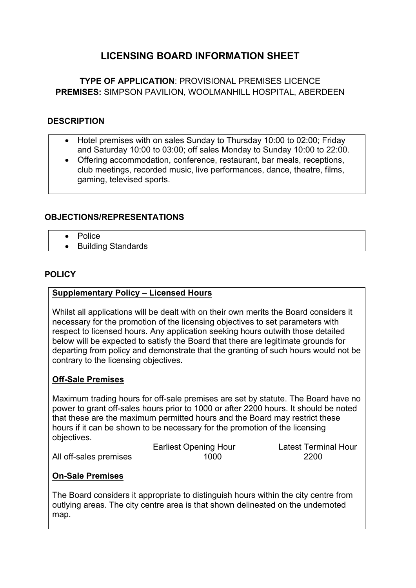# **LICENSING BOARD INFORMATION SHEET**

# **TYPE OF APPLICATION**: PROVISIONAL PREMISES LICENCE **PREMISES:** SIMPSON PAVILION, WOOLMANHILL HOSPITAL, ABERDEEN

### **DESCRIPTION**

- Hotel premises with on sales Sunday to Thursday 10:00 to 02:00; Friday and Saturday 10:00 to 03:00; off sales Monday to Sunday 10:00 to 22:00.
- Offering accommodation, conference, restaurant, bar meals, receptions, club meetings, recorded music, live performances, dance, theatre, films, gaming, televised sports.

### **OBJECTIONS/REPRESENTATIONS**

- **•** Police
- Building Standards

### **POLICY**

#### **Supplementary Policy – Licensed Hours**

Whilst all applications will be dealt with on their own merits the Board considers it necessary for the promotion of the licensing objectives to set parameters with respect to licensed hours. Any application seeking hours outwith those detailed below will be expected to satisfy the Board that there are legitimate grounds for departing from policy and demonstrate that the granting of such hours would not be contrary to the licensing objectives.

#### **Off-Sale Premises**

Maximum trading hours for off-sale premises are set by statute. The Board have no power to grant off-sales hours prior to 1000 or after 2200 hours. It should be noted that these are the maximum permitted hours and the Board may restrict these hours if it can be shown to be necessary for the promotion of the licensing objectives.

|                        | Earliest Opening Hour | Latest Termi |
|------------------------|-----------------------|--------------|
| All off-sales premises | 1000                  | 2200         |

Latest Terminal Hour

## **On-Sale Premises**

The Board considers it appropriate to distinguish hours within the city centre from outlying areas. The city centre area is that shown delineated on the undernoted map.